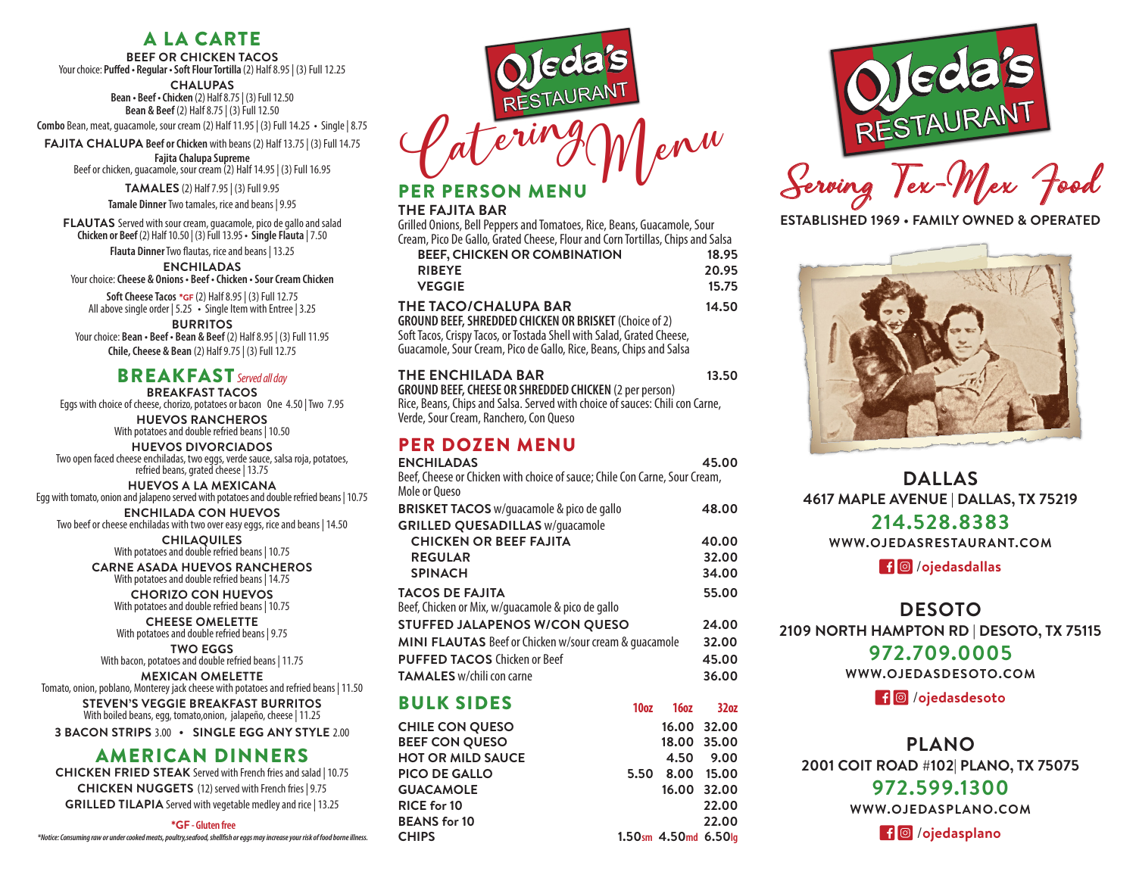# A LA CARTE

**BEEF OR CHICKEN TACOS** Your choice: **Puffed • Regular • Soft Flour Tortilla** (2) Half 8.95 | (3) Full 12.25

**CHALUPAS**

**Bean • Beef • Chicken** (2) Half 8.75 | (3) Full 12.50 **Bean & Beef** (2) Half 8.75 | (3) Full 12.50

**Combo** Bean, meat, guacamole, sour cream (2) Half 11.95 | (3) Full 14.25 **•** Single | 8.75

**FAJITA CHALUPA Beef or Chicken** with beans (2) Half 13.75 | (3) Full 14.75 **Fajita Chalupa Supreme** Beef or chicken, guacamole, sour cream (2) Half 14.95 | (3) Full 16.95

**TAMALES** (2) Half 7.95 | (3) Full 9.95

**Tamale Dinner** Two tamales, rice and beans | 9.95

**FLAUTAS** Served with sour cream, guacamole, pico de gallo and salad **Chicken or Beef** (2) Half 10.50 | (3) Full 13.95 **• Single Flauta** | 7.50

**Flauta Dinner**Two flautas, rice and beans | 13.25

**ENCHILADAS** Your choice: **Cheese & Onions • Beef • Chicken • Sour Cream Chicken**

**Soft Cheese Tacos** \***GF** (2) Half 8.95 | (3) Full 12.75 All above single order | 5.25 **•** Single Item with Entree | 3.25

**BURRITOS** Your choice: **Bean • Beef • Bean & Beef** (2) Half 8.95 | (3) Full 11.95 **Chile, Cheese & Bean** (2) Half 9.75 | (3) Full 12.75

#### BREAKFAST *Served all day*

**BREAKFAST TACOS**  Eggs with choice of cheese, chorizo, potatoes or bacon One 4.50 | Two 7.95

> **HUEVOS RANCHEROS**  With potatoes and double refried beans | 10.50

**HUEVOS DIVORCIADOS**  Two open faced cheese enchiladas, two eggs, verde sauce, salsa roja, potatoes, refried beans, grated cheese | 13.75

**HUEVOS A LA MEXICANA** Egg with tomato, onion and jalapeno served with potatoes and double refried beans | 10.75

**ENCHILADA CON HUEVOS** Two beef or cheese enchiladas with two over easy eggs, rice and beans | 14.50

**CHILAQUILES** With potatoes and double refried beans | 10.75

**CARNE ASADA HUEVOS RANCHEROS**  With potatoes and double refried beans | 14.75

**CHORIZO CON HUEVOS** With potatoes and double refried beans | 10.75

**CHEESE OMELETTE** With potatoes and double refried beans | 9.75

**TWO EGGS** With bacon, potatoes and double refried beans | 11.75

**MEXICAN OMELETTE** Tomato, onion, poblano, Monterey jack cheese with potatoes and refried beans | 11.50

> **STEVEN'S VEGGIE BREAKFAST BURRITOS** With boiled beans, egg, tomato,onion, jalapeño, cheese | 11.25

**3 BACON STRIPS** 3.00 **• SINGLE EGG ANY STYLE** 2.00

## AMERICAN DINNERS

**CHICKEN FRIED STEAK** Served with French fries and salad | 10.75 **CHICKEN NUGGETS** (12) served with French fries | 9.75 **GRILLED TILAPIA** Served with vegetable medley and rice | 13.25

\***GF - Gluten free**

*\*Notice: Consuming raw or under cooked meats, poultry,seafood, shellfish or eggs may increase your risk of food borne illness.*



# PERSON MENU

#### **THE FAJITA BAR**

Grilled Onions, Bell Peppers and Tomatoes, Rice, Beans, Guacamole, Sour Cream, Pico De Gallo, Grated Cheese, Flour and Corn Tortillas, Chips and Salsa

| <b>BEEF, CHICKEN OR COMBINATION</b>                                   | 18.95 |
|-----------------------------------------------------------------------|-------|
| <b>RIBEYE</b>                                                         | 20.95 |
| <b>VEGGIE</b>                                                         | 15.75 |
| THE TACO/CHALUPA BAR                                                  | 14.50 |
| <b>GROUND BEEF, SHREDDED CHICKEN OR BRISKET (Choice of 2)</b>         |       |
| Soft Tacos, Crispy Tacos, or Tostada Shell with Salad, Grated Cheese, |       |
| Guacamole, Sour Cream, Pico de Gallo, Rice, Beans, Chips and Salsa    |       |

#### THE ENCHILADA BAR 13.50 **GROUND BEEF, CHEESE OR SHREDDED CHICKEN** (2 per person)

Rice, Beans, Chips and Salsa. Served with choice of sauces: Chili con Carne, Verde, Sour Cream, Ranchero, Con Queso

# PER DOZEN MENU

**CHIPS** 

| <b>ENCHILADAS</b>                                                          |                  |                 | 45.00            |
|----------------------------------------------------------------------------|------------------|-----------------|------------------|
| Beef, Cheese or Chicken with choice of sauce; Chile Con Carne, Sour Cream, |                  |                 |                  |
| Mole or Oueso                                                              |                  |                 |                  |
| <b>BRISKET TACOS</b> w/guacamole & pico de gallo                           |                  |                 | 48.00            |
| <b>GRILLED QUESADILLAS w/quacamole</b>                                     |                  |                 |                  |
| <b>CHICKEN OR BEEF FAJITA</b>                                              |                  |                 | 40.00            |
| <b>REGULAR</b>                                                             |                  |                 | 32.00            |
| <b>SPINACH</b>                                                             |                  |                 | 34.00            |
| <b>TACOS DE FAJITA</b>                                                     |                  |                 | 55.00            |
| Beef, Chicken or Mix, w/guacamole & pico de gallo                          |                  |                 |                  |
| STUFFED JALAPENOS W/CON QUESO                                              |                  |                 | 24.00            |
| MINI FLAUTAS Beef or Chicken w/sour cream & quacamole                      |                  |                 | 32.00            |
| <b>PUFFED TACOS Chicken or Beef</b>                                        |                  |                 | 45.00            |
| <b>TAMALES</b> w/chili con carne                                           |                  |                 | 36.00            |
| <b>BULK SIDES</b>                                                          | 10 <sub>oz</sub> | <b>16oz</b>     | 32 <sub>0z</sub> |
| <b>CHILE CON QUESO</b>                                                     |                  |                 | 16.00 32.00      |
| <b>BEEF CON QUESO</b>                                                      |                  |                 | 18.00 35.00      |
| <b>HOT OR MILD SAUCE</b>                                                   |                  | 4.50            | 9.00             |
| <b>PICO DE GALLO</b>                                                       |                  |                 |                  |
|                                                                            |                  | 5.50 8.00 15.00 |                  |
| <b>GUACAMOLE</b>                                                           |                  |                 | 16.00 32.00      |
| <b>RICE for 10</b>                                                         |                  |                 | 22.00            |
| <b>BEANS for 10</b>                                                        |                  |                 | 22.00            |

**CHIPS 1.50sm 4.50md 6.50lg**



Serving Tex-Mex Food

**ESTABLISHED 1969 • FAMILY OWNED & OPERATED**



**DALLAS 4617 MAPLE AVENUE | DALLAS, TX 75219 214.528.8383**

**WWW.OJEDASRESTAURANT.COM**

/**ojedasdallas**

**DESOTO 2109 NORTH HAMPTON RD | DESOTO, TX 75115**

## **972.709.0005**

**WWW.OJEDASDESOTO.COM**

/**ojedasdesoto**

# **PLANO**

**2001 COIT ROAD #102| PLANO, TX 75075**

## **972.599.1300**

**WWW.OJEDASPLANO.COM**

/**ojedasplano**